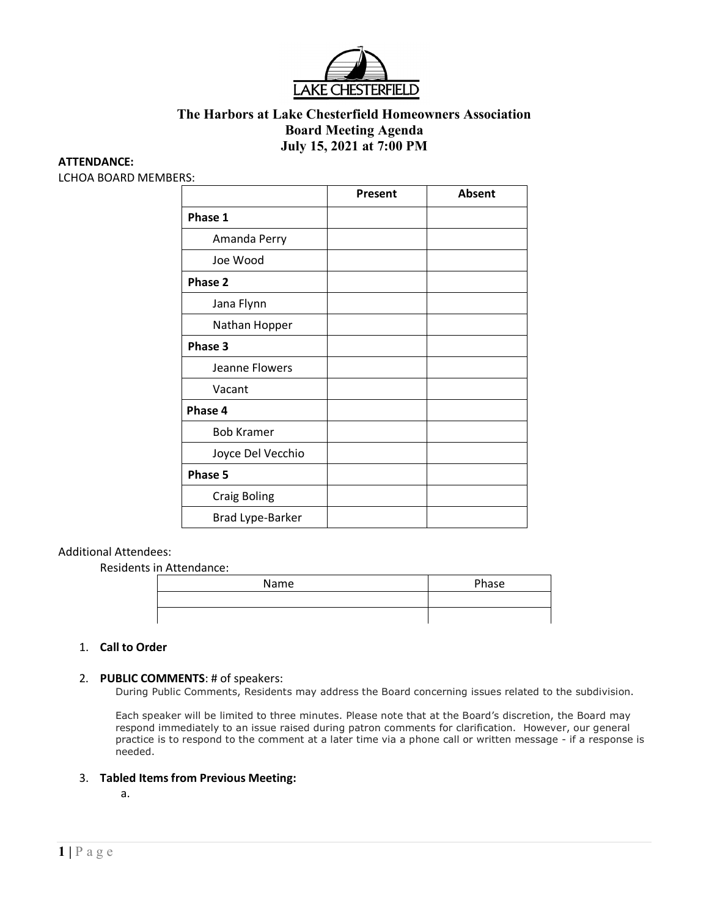

# **The Harbors at Lake Chesterfield Homeowners Association Board Meeting Agenda July 15, 2021 at 7:00 PM**

#### **ATTENDANCE:**

LCHOA BOARD MEMBERS:

|                     | Present | Absent |
|---------------------|---------|--------|
| Phase 1             |         |        |
| Amanda Perry        |         |        |
| Joe Wood            |         |        |
| Phase 2             |         |        |
| Jana Flynn          |         |        |
| Nathan Hopper       |         |        |
| Phase 3             |         |        |
| Jeanne Flowers      |         |        |
| Vacant              |         |        |
| Phase 4             |         |        |
| <b>Bob Kramer</b>   |         |        |
| Joyce Del Vecchio   |         |        |
| Phase 5             |         |        |
| <b>Craig Boling</b> |         |        |
| Brad Lype-Barker    |         |        |

## Additional Attendees:

Residents in Attendance:

| Name | Phase |
|------|-------|
|      |       |
|      |       |

#### 1. **Call to Order**

#### 2. **PUBLIC COMMENTS**: # of speakers:

During Public Comments, Residents may address the Board concerning issues related to the subdivision.

Each speaker will be limited to three minutes. Please note that at the Board's discretion, the Board may respond immediately to an issue raised during patron comments for clarification. However, our general practice is to respond to the comment at a later time via a phone call or written message - if a response is needed.

#### 3. **Tabled Items from Previous Meeting:**

a.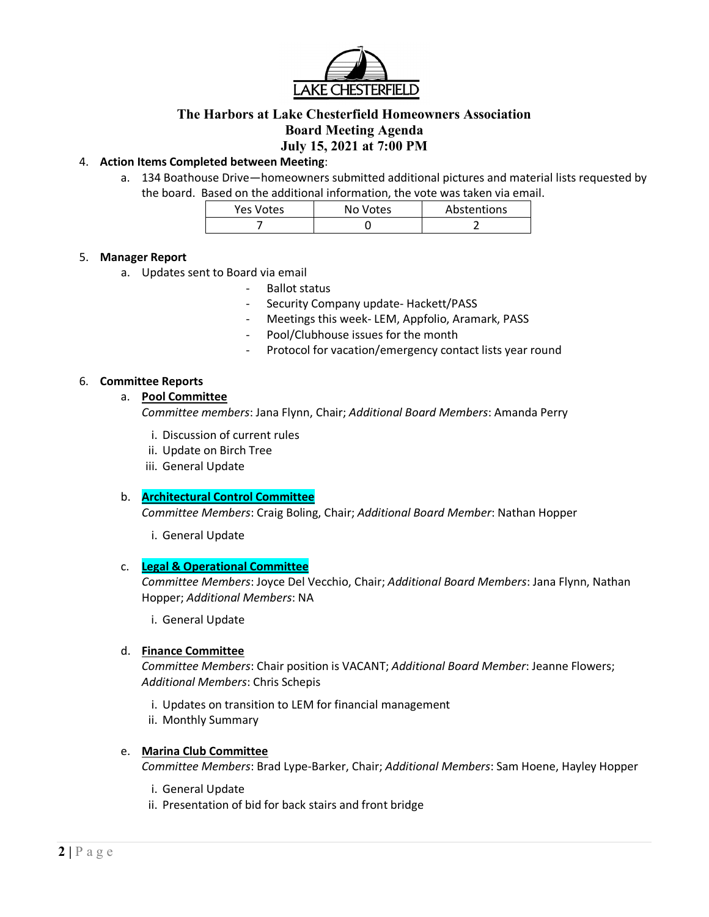

# **The Harbors at Lake Chesterfield Homeowners Association Board Meeting Agenda July 15, 2021 at 7:00 PM**

## 4. **Action Items Completed between Meeting**:

a. 134 Boathouse Drive—homeowners submitted additional pictures and material lists requested by the board. Based on the additional information, the vote was taken via email.

| <b>Yes Votes</b> | No Votes | Abstentions |
|------------------|----------|-------------|
|                  |          |             |

## 5. **Manager Report**

- a. Updates sent to Board via email
	- Ballot status
	- Security Company update- Hackett/PASS
	- Meetings this week- LEM, Appfolio, Aramark, PASS
	- Pool/Clubhouse issues for the month
	- Protocol for vacation/emergency contact lists year round

## 6. **Committee Reports**

## a. **Pool Committee**

*Committee members*: Jana Flynn, Chair; *Additional Board Members*: Amanda Perry

- i. Discussion of current rules
- ii. Update on Birch Tree
- iii. General Update

## b. **Architectural Control Committee**

*Committee Members*: Craig Boling, Chair; *Additional Board Member*: Nathan Hopper

i. General Update

## c. **Legal & Operational Committee**

*Committee Members*: Joyce Del Vecchio, Chair; *Additional Board Members*: Jana Flynn, Nathan Hopper; *Additional Members*: NA

i. General Update

## d. **Finance Committee**

*Committee Members*: Chair position is VACANT; *Additional Board Member*: Jeanne Flowers; *Additional Members*: Chris Schepis

- i. Updates on transition to LEM for financial management
- ii. Monthly Summary

# e. **Marina Club Committee**

*Committee Members*: Brad Lype-Barker, Chair; *Additional Members*: Sam Hoene, Hayley Hopper

- i. General Update
- ii. Presentation of bid for back stairs and front bridge